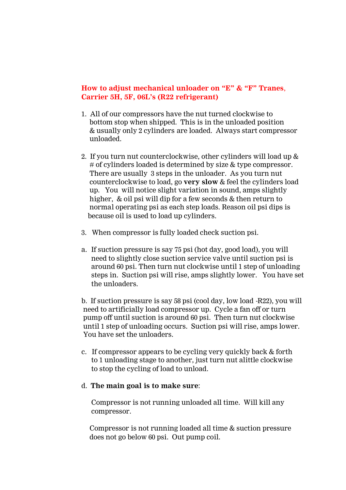# **How to adjust mechanical unloader on "E" & "F" Tranes**, **Carrier 5H, 5F, 06L's (R22 refrigerant)**

- 1. All of our compressors have the nut turned clockwise to bottom stop when shipped. This is in the unloaded position & usually only 2 cylinders are loaded. Always start compressor unloaded.
- 2. If you turn nut counterclockwise, other cylinders will load up & # of cylinders loaded is determined by size & type compressor. There are usually 3 steps in the unloader. As you turn nut counterclockwise to load, go **very slow** & feel the cylinders load up. You will notice slight variation in sound, amps slightly higher, & oil psi will dip for a few seconds & then return to normal operating psi as each step loads. Reason oil psi dips is because oil is used to load up cylinders.
- 3. When compressor is fully loaded check suction psi.
- a. If suction pressure is say 75 psi (hot day, good load), you will need to slightly close suction service valve until suction psi is around 60 psi. Then turn nut clockwise until 1 step of unloading steps in. Suction psi will rise, amps slightly lower. You have set the unloaders.

b. If suction pressure is say 58 psi (cool day, low load -R22), you will need to artificially load compressor up. Cycle a fan off or turn pump off until suction is around 60 psi. Then turn nut clockwise until 1 step of unloading occurs. Suction psi will rise, amps lower. You have set the unloaders.

c. If compressor appears to be cycling very quickly back & forth to 1 unloading stage to another, just turn nut alittle clockwise to stop the cycling of load to unload.

### d. **The main goal is to make sure**:

Compressor is not running unloaded all time. Will kill any compressor.

Compressor is not running loaded all time & suction pressure does not go below 60 psi. Out pump coil.